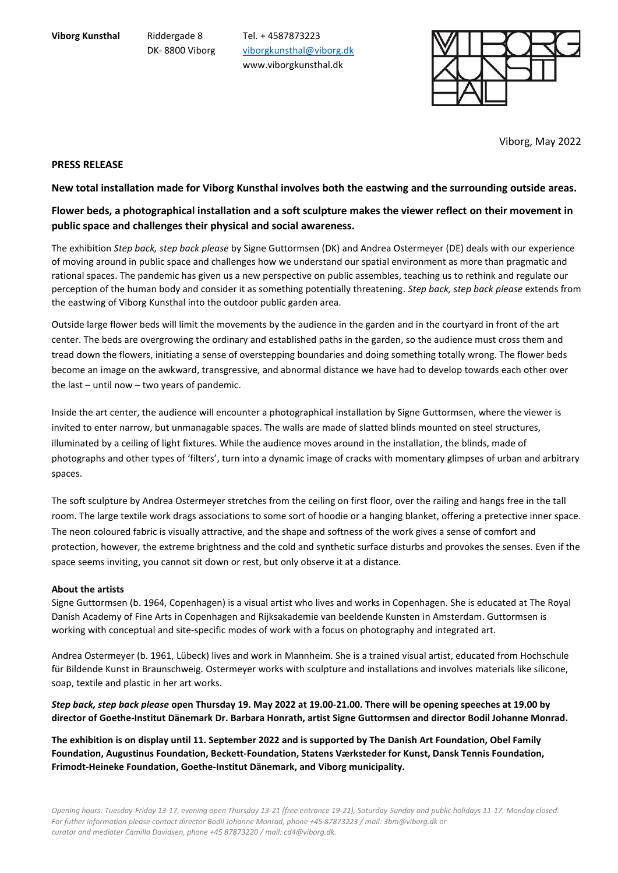**Viborg Kunsthal** Riddergade 8 Tel. + 4587873223 DK- 8800 Viborg [viborgkunsthal@viborg.dk](mailto:viborgkunsthal@viborg.dk) www.viborgkunsthal.dk



Viborg, May 2022

## **PRESS RELEASE**

## **New total installation made for Viborg Kunsthal involves both the eastwing and the surrounding outside areas.**

## **Flower beds, a photographical installation and a soft sculpture makes the viewer reflect on their movement in public space and challenges their physical and social awareness.**

The exhibition *Step back, step back please* by Signe Guttormsen (DK) and Andrea Ostermeyer (DE) deals with our experience of moving around in public space and challenges how we understand our spatial environment as more than pragmatic and rational spaces. The pandemic has given us a new perspective on public assembles, teaching us to rethink and regulate our perception of the human body and consider it as something potentially threatening. *Step back, step back please* extends from the eastwing of Viborg Kunsthal into the outdoor public garden area.

Outside large flower beds will limit the movements by the audience in the garden and in the courtyard in front of the art center. The beds are overgrowing the ordinary and established paths in the garden, so the audience must cross them and tread down the flowers, initiating a sense of overstepping boundaries and doing something totally wrong. The flower beds become an image on the awkward, transgressive, and abnormal distance we have had to develop towards each other over the last – until now – two years of pandemic.

Inside the art center, the audience will encounter a photographical installation by Signe Guttormsen, where the viewer is invited to enter narrow, but unmanagable spaces. The walls are made of slatted blinds mounted on steel structures, illuminated by a ceiling of light fixtures. While the audience moves around in the installation, the blinds, made of photographs and other types of 'filters', turn into a dynamic image of cracks with momentary glimpses of urban and arbitrary spaces.

The soft sculpture by Andrea Ostermeyer stretches from the ceiling on first floor, over the railing and hangs free in the tall room. The large textile work drags associations to some sort of hoodie or a hanging blanket, offering a pretective inner space. The neon coloured fabric is visually attractive, and the shape and softness of the work gives a sense of comfort and protection, however, the extreme brightness and the cold and synthetic surface disturbs and provokes the senses. Even if the space seems inviting, you cannot sit down or rest, but only observe it at a distance.

#### **About the artists**

Signe Guttormsen (b. 1964, Copenhagen) is a visual artist who lives and works in Copenhagen. She is educated at The Royal Danish Academy of Fine Arts in Copenhagen and Rijksakademie van beeldende Kunsten in Amsterdam. Guttormsen is working with conceptual and site-specific modes of work with a focus on photography and integrated art.

Andrea Ostermeyer (b. 1961, Lübeck) lives and work in Mannheim. She is a trained visual artist, educated from Hochschule für Bildende Kunst in Braunschweig. Ostermeyer works with sculpture and installations and involves materials like silicone, soap, textile and plastic in her art works.

*Step back, step back please* **open Thursday 19. May 2022 at 19.00-21.00. There will be opening speeches at 19.00 by director of Goethe-Institut Dänemark Dr. Barbara Honrath, artist Signe Guttormsen and director Bodil Johanne Monrad.**

**The exhibition is on display until 11. September 2022 and is supported by The Danish Art Foundation, Obel Family Foundation, Augustinus Foundation, Beckett-Foundation, Statens Værksteder for Kunst, Dansk Tennis Foundation, Frimodt-Heineke Foundation, Goethe-Institut Dänemark, and Viborg municipality.**